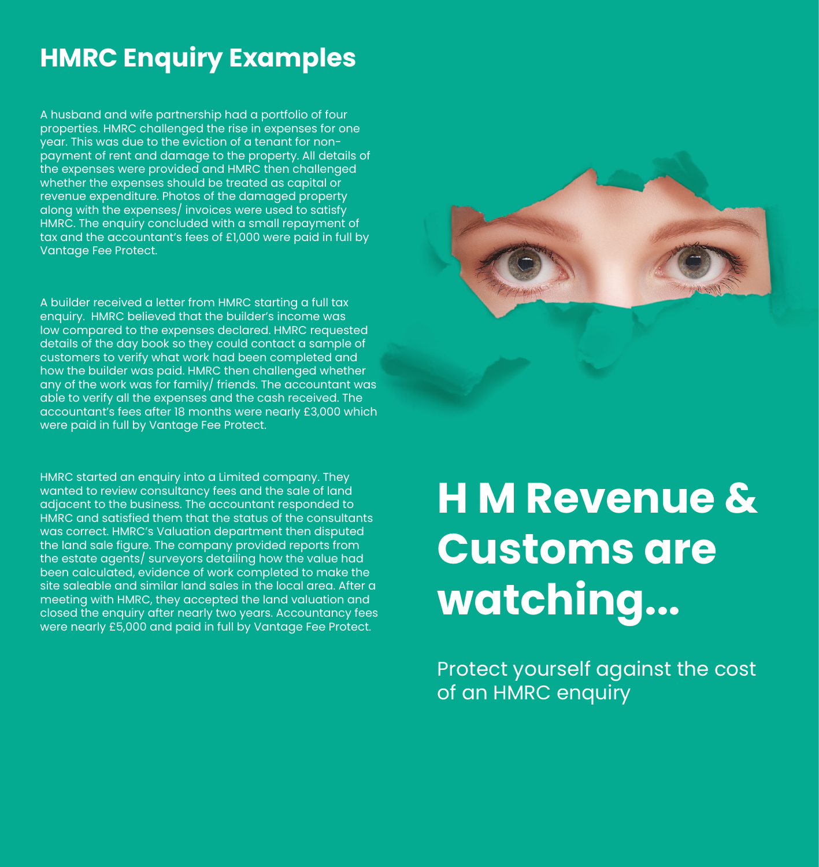## **HMRC Enquiry Examples**

A husband and wife partnership had a portfolio of four properties. HMRC challenged the rise in expenses for one year. This was due to the eviction of a tenant for nonpayment of rent and damage to the property. All details of the expenses were provided and HMRC then challenged whether the expenses should be treated as capital or revenue expenditure. Photos of the damaged property along with the expenses/ invoices were used to satisfy HMRC. The enquiry concluded with a small repayment of tax and the accountant's fees of £1,000 were paid in full by Vantage Fee Protect.

A builder received a letter from HMRC starting a full tax enquiry. HMRC believed that the builder's income was low compared to the expenses declared. HMRC requested details of the day book so they could contact a sample of customers to verify what work had been completed and how the builder was paid. HMRC then challenged whether any of the work was for family/ friends. The accountant was able to verify all the expenses and the cash received. The accountant's fees after 18 months were nearly £3,000 which were paid in full by Vantage Fee Protect.

HMRC started an enquiry into a Limited company. They wanted to review consultancy fees and the sale of land adjacent to the business. The accountant responded to HMRC and satisfied them that the status of the consultants was correct. HMRC's Valuation department then disputed the land sale figure. The company provided reports from the estate agents/ surveyors detailing how the value had been calculated, evidence of work completed to make the site saleable and similar land sales in the local area. After a meeting with HMRC, they accepted the land valuation and closed the enquiry after nearly two years. Accountancy fees were nearly £5,000 and paid in full by Vantage Fee Protect.

# **H M Revenue & Customs are watching...**

Protect yourself against the cost of an HMRC enquiry